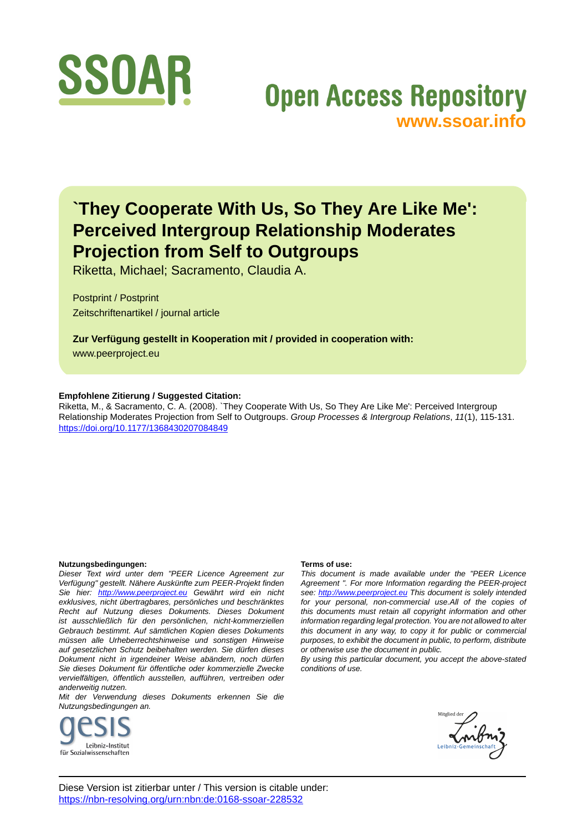

# **Open Access Repository [www.ssoar.info](http://www.ssoar.info)**

# **`They Cooperate With Us, So They Are Like Me': Perceived Intergroup Relationship Moderates Projection from Self to Outgroups**

Riketta, Michael; Sacramento, Claudia A.

Postprint / Postprint Zeitschriftenartikel / journal article

## **Zur Verfügung gestellt in Kooperation mit / provided in cooperation with:**

www.peerproject.eu

## **Empfohlene Zitierung / Suggested Citation:**

Riketta, M., & Sacramento, C. A. (2008). `They Cooperate With Us, So They Are Like Me': Perceived Intergroup Relationship Moderates Projection from Self to Outgroups. *Group Processes & Intergroup Relations*, *11*(1), 115-131. <https://doi.org/10.1177/1368430207084849>

#### **Nutzungsbedingungen:**

*Dieser Text wird unter dem "PEER Licence Agreement zur Verfügung" gestellt. Nähere Auskünfte zum PEER-Projekt finden Sie hier: <http://www.peerproject.eu>Gewährt wird ein nicht exklusives, nicht übertragbares, persönliches und beschränktes Recht auf Nutzung dieses Dokuments. Dieses Dokument ist ausschließlich für den persönlichen, nicht-kommerziellen Gebrauch bestimmt. Auf sämtlichen Kopien dieses Dokuments müssen alle Urheberrechtshinweise und sonstigen Hinweise auf gesetzlichen Schutz beibehalten werden. Sie dürfen dieses Dokument nicht in irgendeiner Weise abändern, noch dürfen Sie dieses Dokument für öffentliche oder kommerzielle Zwecke vervielfältigen, öffentlich ausstellen, aufführen, vertreiben oder anderweitig nutzen.*

*Mit der Verwendung dieses Dokuments erkennen Sie die Nutzungsbedingungen an.*



## **Terms of use:**

*This document is made available under the "PEER Licence Agreement ". For more Information regarding the PEER-project see:<http://www.peerproject.eu>This document is solely intended for your personal, non-commercial use.All of the copies of this documents must retain all copyright information and other information regarding legal protection. You are not allowed to alter this document in any way, to copy it for public or commercial purposes, to exhibit the document in public, to perform, distribute or otherwise use the document in public.*

*By using this particular document, you accept the above-stated conditions of use.*

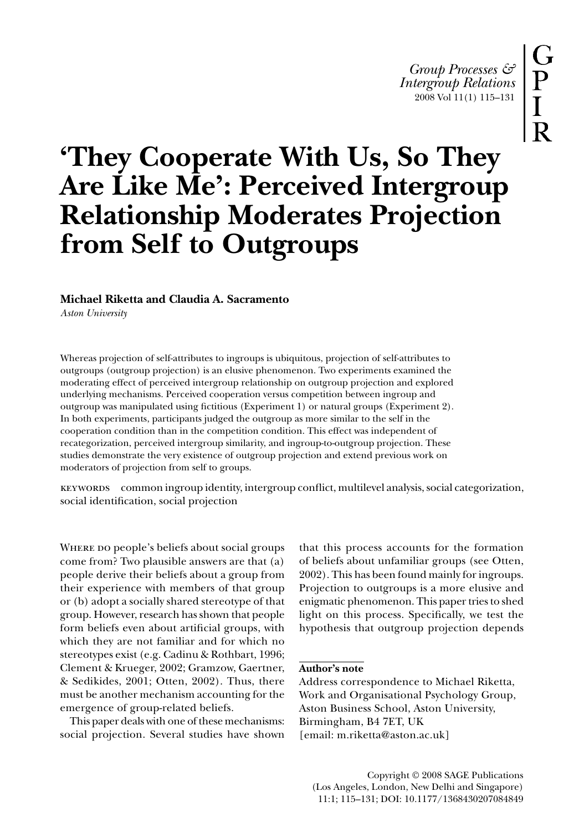*Group Processes & Intergroup Relations* 2008 Vol 11(1) 115–131

# **'They Cooperate With Us, So They Are Like Me': Perceived Intergroup Relationship Moderates Projection from Self to Outgroups**

#### **Michael Riketta and Claudia A. Sacramento**

*Aston University*

Whereas projection of self-attributes to ingroups is ubiquitous, projection of self-attributes to outgroups (outgroup projection) is an elusive phenomenon. Two experiments examined the moderating effect of perceived intergroup relationship on outgroup projection and explored underlying mechanisms. Perceived cooperation versus competition between ingroup and outgroup was manipulated using fictitious (Experiment 1) or natural groups (Experiment 2). In both experiments, participants judged the outgroup as more similar to the self in the cooperation condition than in the competition condition. This effect was independent of recategorization, perceived intergroup similarity, and ingroup-to-outgroup projection. These studies demonstrate the very existence of outgroup projection and extend previous work on moderators of projection from self to groups.

keywords common ingroup identity, intergroup conflict, multilevel analysis, social categorization, social identification, social projection

WHERE DO people's beliefs about social groups come from? Two plausible answers are that (a) people derive their beliefs about a group from their experience with members of that group or (b) adopt a socially shared stereotype of that group. However, research has shown that people form beliefs even about artificial groups, with which they are not familiar and for which no stereotypes exist (e.g. Cadinu & Rothbart, 1996; Clement & Krueger, 2002; Gramzow, Gaertner, & Sedikides, 2001; Otten, 2002). Thus, there must be another mechanism accounting for the emergence of group-related beliefs.

This paper deals with one of these mechanisms: social projection. Several studies have shown that this process accounts for the formation of beliefs about unfamiliar groups (see Otten, 2002). This has been found mainly for ingroups. Projection to outgroups is a more elusive and enigmatic phenomenon. This paper tries to shed light on this process. Specifically, we test the hypothesis that outgroup projection depends

#### **Author's note**

Address correspondence to Michael Riketta, Work and Organisational Psychology Group, Aston Business School, Aston University, Birmingham, B4 7ET, UK [email: m.riketta@aston.ac.uk]

Copyright © 2008 SAGE Publications (Los Angeles, London, New Delhi and Singapore) 11:1; 115–131; DOI: 10.1177/1368430207084849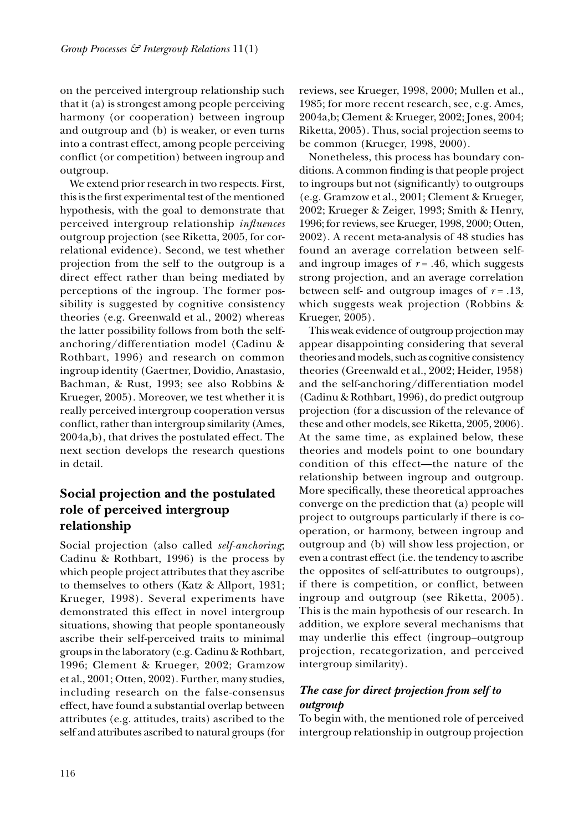on the perceived intergroup relationship such that it (a) is strongest among people perceiving harmony (or cooperation) between ingroup and outgroup and (b) is weaker, or even turns into a contrast effect, among people perceiving conflict (or competition) between ingroup and outgroup.

We extend prior research in two respects. First, this is the first experimental test of the mentioned hypothesis, with the goal to demonstrate that perceived intergroup relationship *infl uences*  outgroup projection (see Riketta, 2005, for correlational evidence). Second, we test whether projection from the self to the outgroup is a direct effect rather than being mediated by perceptions of the ingroup. The former possibility is suggested by cognitive consistency theories (e.g. Greenwald et al., 2002) whereas the latter possibility follows from both the selfanchoring/differentiation model (Cadinu & Rothbart, 1996) and research on common ingroup identity (Gaertner, Dovidio, Anastasio, Bachman, & Rust, 1993; see also Robbins & Krueger, 2005). Moreover, we test whether it is really perceived intergroup cooperation versus conflict, rather than intergroup similarity (Ames, 2004a,b), that drives the postulated effect. The next section develops the research questions in detail.

# **Social projection and the postulated role of perceived intergroup relationship**

Social projection (also called *self-anchoring*; Cadinu & Rothbart, 1996) is the process by which people project attributes that they ascribe to themselves to others (Katz & Allport, 1931; Krueger, 1998). Several experiments have demonstrated this effect in novel intergroup situations, showing that people spontaneously ascribe their self-perceived traits to minimal groups in the laboratory (e.g. Cadinu & Rothbart, 1996; Clement & Krueger, 2002; Gramzow et al., 2001; Otten, 2002). Further, many studies, including research on the false-consensus effect, have found a substantial overlap between attributes (e.g. attitudes, traits) ascribed to the self and attributes ascribed to natural groups (for reviews, see Krueger, 1998, 2000; Mullen et al., 1985; for more recent research, see, e.g. Ames, 2004a,b; Clement & Krueger, 2002; Jones, 2004; Riketta, 2005). Thus, social projection seems to be common (Krueger, 1998, 2000).

Nonetheless, this process has boundary conditions. A common finding is that people project to ingroups but not (significantly) to outgroups (e.g. Gramzow et al., 2001; Clement & Krueger, 2002; Krueger & Zeiger, 1993; Smith & Henry, 1996; for reviews, see Krueger, 1998, 2000; Otten, 2002). A recent meta-analysis of 48 studies has found an average correlation between selfand ingroup images of  $r = .46$ , which suggests strong projection, and an average correlation between self- and outgroup images of  $r = .13$ , which suggests weak projection (Robbins & Krueger, 2005).

This weak evidence of outgroup projection may appear disappointing considering that several theories and models, such as cognitive consistency theories (Greenwald et al., 2002; Heider, 1958) and the self-anchoring/differentiation model (Cadinu & Rothbart, 1996), do predict outgroup projection (for a discussion of the relevance of these and other models, see Riketta, 2005, 2006). At the same time, as explained below, these theories and models point to one boundary condition of this effect—the nature of the relationship between ingroup and outgroup. More specifically, these theoretical approaches converge on the prediction that (a) people will project to outgroups particularly if there is cooperation, or harmony, between ingroup and outgroup and (b) will show less projection, or even a contrast effect (i.e. the tendency to ascribe the opposites of self-attributes to outgroups), if there is competition, or conflict, between ingroup and outgroup (see Riketta, 2005). This is the main hypothesis of our research. In addition, we explore several mechanisms that may underlie this effect (ingroup–outgroup projection, recategorization, and perceived intergroup similarity).

## *The case for direct projection from self to outgroup*

To begin with, the mentioned role of perceived intergroup relationship in outgroup projection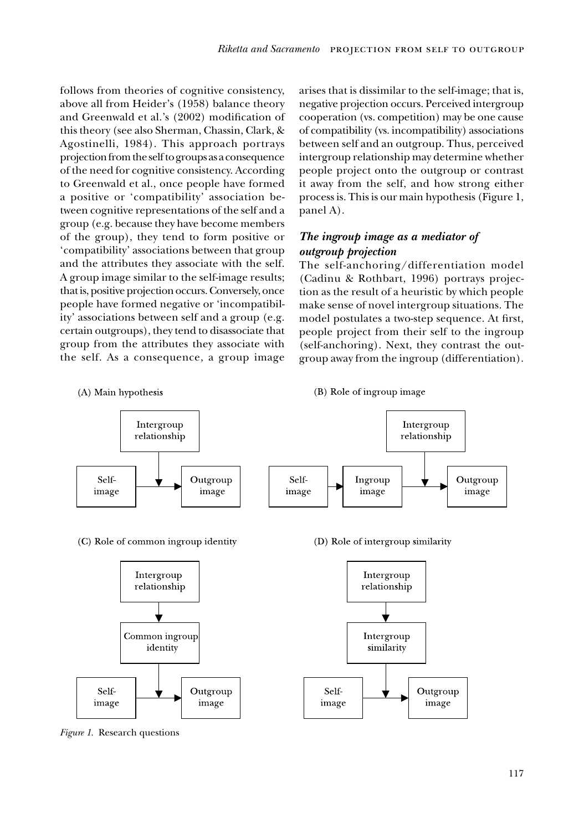follows from theories of cognitive consistency, above all from Heider's (1958) balance theory and Greenwald et al.'s (2002) modification of this theory (see also Sherman, Chassin, Clark, & Agostinelli, 1984). This approach portrays projection from the self to groups as a consequence of the need for cognitive consistency. According to Greenwald et al., once people have formed a positive or 'compatibility' association between cognitive representations of the self and a group (e.g. because they have become members of the group), they tend to form positive or 'compatibility' associations between that group and the attributes they associate with the self. A group image similar to the self-image results; that is, positive projection occurs. Conversely, once people have formed negative or 'incompatibility' associations between self and a group (e.g. certain outgroups), they tend to disassociate that group from the attributes they associate with the self. As a consequence, a group image

(A) Main hypothesis

arises that is dissimilar to the self-image; that is, negative projection occurs. Perceived intergroup cooperation (vs. competition) may be one cause of compatibility (vs. incompatibility) associations between self and an outgroup. Thus, perceived intergroup relationship may determine whether people project onto the outgroup or contrast it away from the self, and how strong either process is. This is our main hypothesis (Figure 1, panel A).

## *The ingroup image as a mediator of outgroup projection*

The self-anchoring/differentiation model (Cadinu & Rothbart, 1996) portrays projection as the result of a heuristic by which people make sense of novel intergroup situations. The model postulates a two-step sequence. At first, people project from their self to the ingroup (self-anchoring). Next, they contrast the outgroup away from the ingroup (differentiation).

(B) Role of ingroup image



#### (C) Role of common ingroup identity



*Figure 1*. Research questions

(D) Role of intergroup similarity

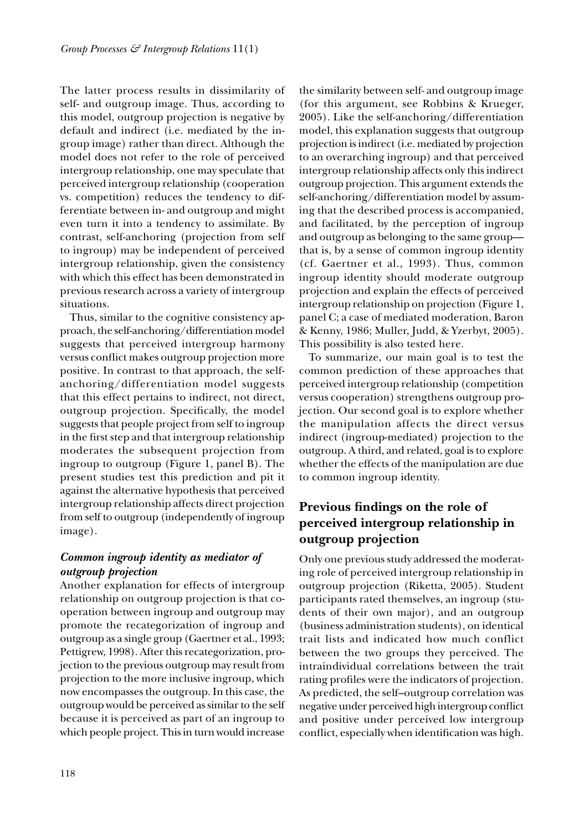The latter process results in dissimilarity of self- and outgroup image. Thus, according to this model, outgroup projection is negative by default and indirect (i.e. mediated by the ingroup image) rather than direct. Although the model does not refer to the role of perceived intergroup relationship, one may speculate that perceived intergroup relationship (cooperation vs. competition) reduces the tendency to differentiate between in- and outgroup and might even turn it into a tendency to assimilate. By contrast, self-anchoring (projection from self to ingroup) may be independent of perceived intergroup relationship, given the consistency with which this effect has been demonstrated in previous research across a variety of intergroup situations.

Thus, similar to the cognitive consistency approach, the self-anchoring/differentiation model suggests that perceived intergroup harmony versus conflict makes outgroup projection more positive. In contrast to that approach, the selfanchoring/differentiation model suggests that this effect pertains to indirect, not direct, outgroup projection. Specifically, the model suggests that people project from self to ingroup in the first step and that intergroup relationship moderates the subsequent projection from ingroup to outgroup (Figure 1, panel B). The present studies test this prediction and pit it against the alternative hypothesis that perceived intergroup relationship affects direct projection from self to outgroup (independently of ingroup image).

## *Common ingroup identity as mediator of outgroup projection*

Another explanation for effects of intergroup relationship on outgroup projection is that cooperation between ingroup and outgroup may promote the recategorization of ingroup and outgroup as a single group (Gaertner et al., 1993; Pettigrew, 1998). After this recategorization, projection to the previous outgroup may result from projection to the more inclusive ingroup, which now encompasses the outgroup. In this case, the outgroup would be perceived as similar to the self because it is perceived as part of an ingroup to which people project. This in turn would increase

the similarity between self- and outgroup image (for this argument, see Robbins & Krueger, 2005). Like the self-anchoring/differentiation model, this explanation suggests that outgroup projection is indirect (i.e. mediated by projection to an overarching ingroup) and that perceived intergroup relationship affects only this indirect outgroup projection. This argument extends the self-anchoring/differentiation model by assuming that the described process is accompanied, and facilitated, by the perception of ingroup and outgroup as belonging to the same group that is, by a sense of common ingroup identity (cf. Gaertner et al., 1993). Thus, common ingroup identity should moderate outgroup projection and explain the effects of perceived intergroup relationship on projection (Figure 1, panel C; a case of mediated moderation, Baron & Kenny, 1986; Muller, Judd, & Yzerbyt, 2005). This possibility is also tested here.

To summarize, our main goal is to test the common prediction of these approaches that perceived intergroup relationship (competition versus cooperation) strengthens outgroup projection. Our second goal is to explore whether the manipulation affects the direct versus indirect (ingroup-mediated) projection to the outgroup. A third, and related, goal is to explore whether the effects of the manipulation are due to common ingroup identity.

# Previous findings on the role of **perceived intergroup relationship in outgroup projection**

Only one previous study addressed the moderating role of perceived intergroup relationship in outgroup projection (Riketta, 2005). Student participants rated themselves, an ingroup (students of their own major), and an outgroup (business administration students), on identical trait lists and indicated how much conflict between the two groups they perceived. The intraindividual correlations between the trait rating profiles were the indicators of projection. As predicted, the self–outgroup correlation was negative under perceived high intergroup conflict and positive under perceived low intergroup conflict, especially when identification was high.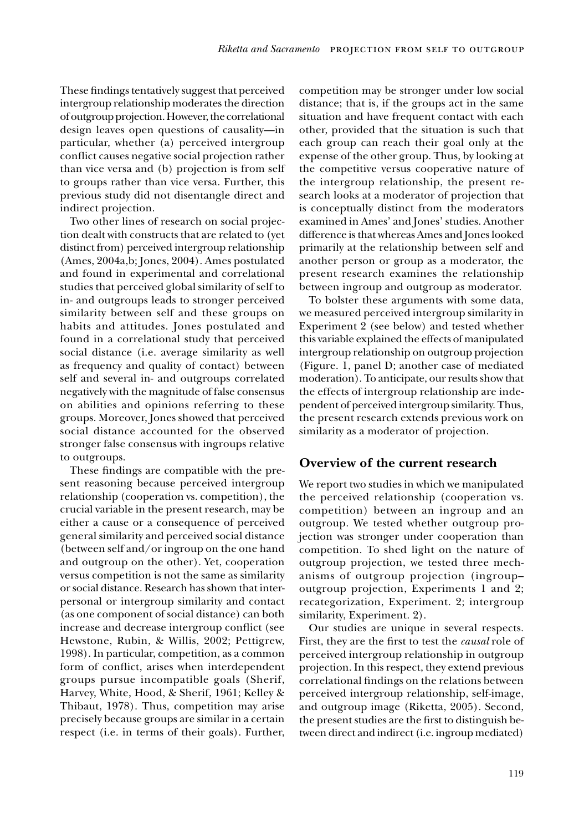These findings tentatively suggest that perceived intergroup relationship moderates the direction of outgroup projection. However, the correlational design leaves open questions of causality—in particular, whether (a) perceived intergroup conflict causes negative social projection rather than vice versa and (b) projection is from self to groups rather than vice versa. Further, this previous study did not disentangle direct and indirect projection.

Two other lines of research on social projection dealt with constructs that are related to (yet distinct from) perceived intergroup relationship (Ames, 2004a,b; Jones, 2004). Ames postulated and found in experimental and correlational studies that perceived global similarity of self to in- and outgroups leads to stronger perceived similarity between self and these groups on habits and attitudes. Jones postulated and found in a correlational study that perceived social distance (i.e. average similarity as well as frequency and quality of contact) between self and several in- and outgroups correlated negatively with the magnitude of false consensus on abilities and opinions referring to these groups. Moreover, Jones showed that perceived social distance accounted for the observed stronger false consensus with ingroups relative to outgroups.

These findings are compatible with the present reasoning because perceived intergroup relationship (cooperation vs. competition), the crucial variable in the present research, may be either a cause or a consequence of perceived general similarity and perceived social distance (between self and/or ingroup on the one hand and outgroup on the other). Yet, cooperation versus competition is not the same as similarity or social distance. Research has shown that interpersonal or intergroup similarity and contact (as one component of social distance) can both increase and decrease intergroup conflict (see Hewstone, Rubin, & Willis, 2002; Pettigrew, 1998). In particular, competition, as a common form of conflict, arises when interdependent groups pursue incompatible goals (Sherif, Harvey, White, Hood, & Sherif, 1961; Kelley & Thibaut, 1978). Thus, competition may arise precisely because groups are similar in a certain respect (i.e. in terms of their goals). Further, competition may be stronger under low social distance; that is, if the groups act in the same situation and have frequent contact with each other, provided that the situation is such that each group can reach their goal only at the expense of the other group. Thus, by looking at the competitive versus cooperative nature of the intergroup relationship, the present research looks at a moderator of projection that is conceptually distinct from the moderators examined in Ames' and Jones' studies. Another difference is that whereas Ames and Jones looked primarily at the relationship between self and another person or group as a moderator, the present research examines the relationship between ingroup and outgroup as moderator.

To bolster these arguments with some data, we measured perceived intergroup similarity in Experiment 2 (see below) and tested whether this variable explained the effects of manipulated intergroup relationship on outgroup projection (Figure. 1, panel D; another case of mediated moderation). To anticipate, our results show that the effects of intergroup relationship are independent of perceived intergroup similarity. Thus, the present research extends previous work on similarity as a moderator of projection.

### **Overview of the current research**

We report two studies in which we manipulated the perceived relationship (cooperation vs. competition) between an ingroup and an outgroup. We tested whether outgroup projection was stronger under cooperation than competition. To shed light on the nature of outgroup projection, we tested three mechanisms of outgroup projection (ingroup– outgroup projection, Experiments 1 and 2; recategorization, Experiment. 2; intergroup similarity, Experiment. 2).

Our studies are unique in several respects. First, they are the first to test the *causal* role of perceived intergroup relationship in outgroup projection. In this respect, they extend previous correlational findings on the relations between perceived intergroup relationship, self-image, and outgroup image (Riketta, 2005). Second, the present studies are the first to distinguish between direct and indirect (i.e. ingroup mediated)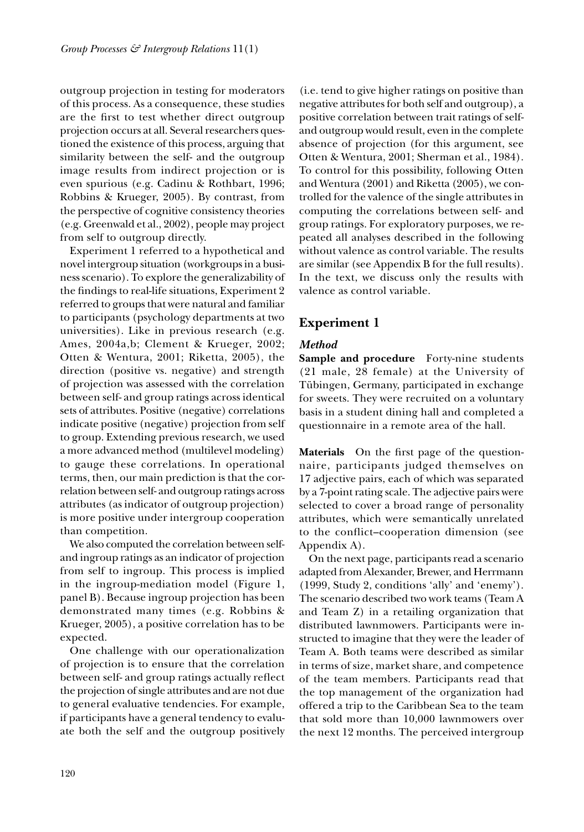outgroup projection in testing for moderators of this process. As a consequence, these studies are the first to test whether direct outgroup projection occurs at all. Several researchers questioned the existence of this process, arguing that similarity between the self- and the outgroup image results from indirect projection or is even spurious (e.g. Cadinu & Rothbart, 1996; Robbins & Krueger, 2005). By contrast, from the perspective of cognitive consistency theories (e.g. Greenwald et al., 2002), people may project from self to outgroup directly.

Experiment 1 referred to a hypothetical and novel intergroup situation (workgroups in a business scenario). To explore the generalizability of the findings to real-life situations, Experiment 2 referred to groups that were natural and familiar to participants (psychology departments at two universities). Like in previous research (e.g. Ames, 2004a,b; Clement & Krueger, 2002; Otten & Wentura, 2001; Riketta, 2005), the direction (positive vs. negative) and strength of projection was assessed with the correlation between self- and group ratings across identical sets of attributes. Positive (negative) correlations indicate positive (negative) projection from self to group. Extending previous research, we used a more advanced method (multilevel modeling) to gauge these correlations. In operational terms, then, our main prediction is that the correlation between self- and outgroup ratings across attributes (as indicator of outgroup projection) is more positive under intergroup cooperation than competition.

We also computed the correlation between selfand ingroup ratings as an indicator of projection from self to ingroup. This process is implied in the ingroup-mediation model (Figure 1, panel B). Because ingroup projection has been demonstrated many times (e.g. Robbins & Krueger, 2005), a positive correlation has to be expected.

One challenge with our operationalization of projection is to ensure that the correlation between self- and group ratings actually reflect the projection of single attributes and are not due to general evaluative tendencies. For example, if participants have a general tendency to evaluate both the self and the outgroup positively

(i.e. tend to give higher ratings on positive than negative attributes for both self and outgroup), a positive correlation between trait ratings of selfand outgroup would result, even in the complete absence of projection (for this argument, see Otten & Wentura, 2001; Sherman et al., 1984). To control for this possibility, following Otten and Wentura (2001) and Riketta (2005), we controlled for the valence of the single attributes in computing the correlations between self- and group ratings. For exploratory purposes, we repeated all analyses described in the following without valence as control variable. The results are similar (see Appendix B for the full results). In the text, we discuss only the results with valence as control variable.

## **Experiment 1**

### *Method*

**Sample and procedure** Forty-nine students (21 male, 28 female) at the University of Tübingen, Germany, participated in exchange for sweets. They were recruited on a voluntary basis in a student dining hall and completed a questionnaire in a remote area of the hall.

**Materials** On the first page of the questionnaire, participants judged themselves on 17 adjective pairs, each of which was separated by a 7-point rating scale. The adjective pairs were selected to cover a broad range of personality attributes, which were semantically unrelated to the conflict–cooperation dimension (see Appendix A).

On the next page, participants read a scenario adapted from Alexander, Brewer, and Herrmann (1999, Study 2, conditions 'ally' and 'enemy'). The scenario described two work teams (Team A and Team Z) in a retailing organization that distributed lawnmowers. Participants were instructed to imagine that they were the leader of Team A. Both teams were described as similar in terms of size, market share, and competence of the team members. Participants read that the top management of the organization had offered a trip to the Caribbean Sea to the team that sold more than 10,000 lawnmowers over the next 12 months. The perceived intergroup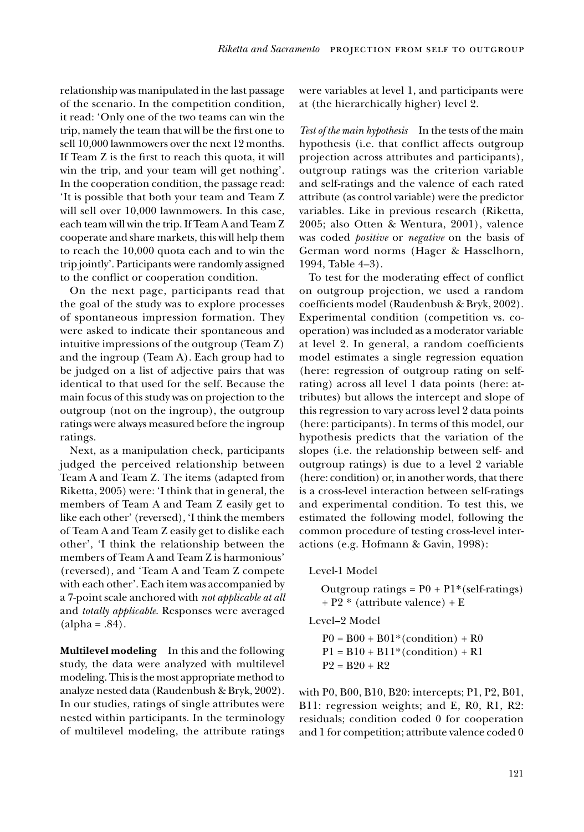relationship was manipulated in the last passage of the scenario. In the competition condition, it read: 'Only one of the two teams can win the trip, namely the team that will be the first one to sell 10,000 lawnmowers over the next 12 months. If Team Z is the first to reach this quota, it will win the trip, and your team will get nothing'. In the cooperation condition, the passage read: 'It is possible that both your team and Team Z will sell over 10,000 lawnmowers. In this case, each team will win the trip. If Team A and Team Z cooperate and share markets, this will help them to reach the 10,000 quota each and to win the trip jointly'. Participants were randomly assigned to the conflict or cooperation condition.

On the next page, participants read that the goal of the study was to explore processes of spontaneous impression formation. They were asked to indicate their spontaneous and intuitive impressions of the outgroup (Team Z) and the ingroup (Team A). Each group had to be judged on a list of adjective pairs that was identical to that used for the self. Because the main focus of this study was on projection to the outgroup (not on the ingroup), the outgroup ratings were always measured before the ingroup ratings.

Next, as a manipulation check, participants judged the perceived relationship between Team A and Team Z. The items (adapted from Riketta, 2005) were: 'I think that in general, the members of Team A and Team Z easily get to like each other' (reversed), 'I think the members of Team A and Team Z easily get to dislike each other', 'I think the relationship between the members of Team A and Team Z is harmonious' (reversed), and 'Team A and Team Z compete with each other'. Each item was accompanied by a 7-point scale anchored with *not applicable at all*  and *totally applicable*. Responses were averaged  $(alpha = .84)$ .

**Multilevel modeling** In this and the following study, the data were analyzed with multilevel modeling. This is the most appropriate method to analyze nested data (Raudenbush & Bryk, 2002). In our studies, ratings of single attributes were nested within participants. In the terminology of multilevel modeling, the attribute ratings were variables at level 1, and participants were at (the hierarchically higher) level 2.

*Test of the main hypothesis* In the tests of the main hypothesis (i.e. that conflict affects outgroup projection across attributes and participants), outgroup ratings was the criterion variable and self-ratings and the valence of each rated attribute (as control variable) were the predictor variables. Like in previous research (Riketta, 2005; also Otten & Wentura, 2001), valence was coded *positive* or *negative* on the basis of German word norms (Hager & Hasselhorn, 1994, Table 4–3).

To test for the moderating effect of conflict on outgroup projection, we used a random coefficients model (Raudenbush & Bryk, 2002). Experimental condition (competition vs. cooperation) was included as a moderator variable at level 2. In general, a random coefficients model estimates a single regression equation (here: regression of outgroup rating on selfrating) across all level 1 data points (here: attributes) but allows the intercept and slope of this regression to vary across level 2 data points (here: participants). In terms of this model, our hypothesis predicts that the variation of the slopes (i.e. the relationship between self- and outgroup ratings) is due to a level 2 variable (here: condition) or, in another words, that there is a cross-level interaction between self-ratings and experimental condition. To test this, we estimated the following model, following the common procedure of testing cross-level interactions (e.g. Hofmann & Gavin, 1998):

Level-1 Model

Outgroup ratings =  $P0 + P1*(self-ratings)$  $+ P2 *$  (attribute valence)  $+ E$ 

Level–2 Model

 $P0 = B00 + B01*(condition) + R0$  $P1 = B10 + B11*(condition) + R1$  $P2 = B20 + R2$ 

with P0, B00, B10, B20: intercepts; P1, P2, B01, B11: regression weights; and E, R0, R1, R2: residuals; condition coded 0 for cooperation and 1 for competition; attribute valence coded 0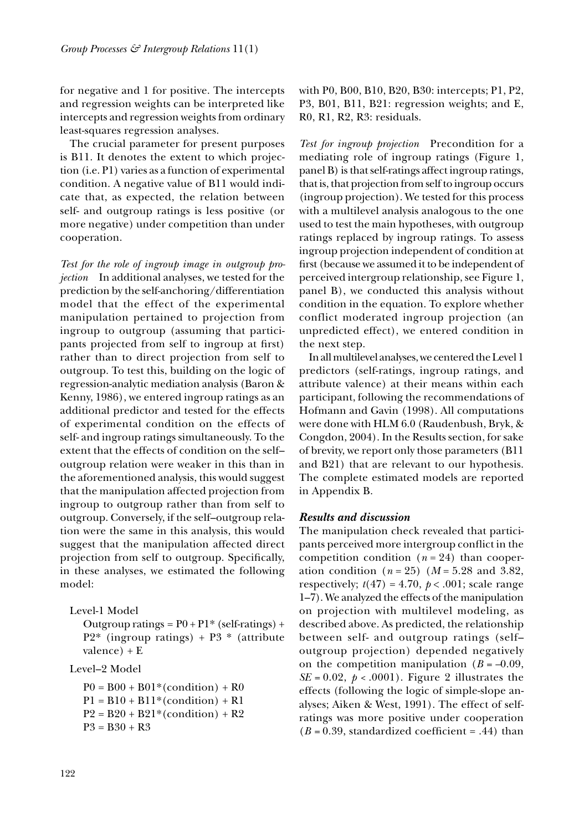for negative and 1 for positive. The intercepts and regression weights can be interpreted like intercepts and regression weights from ordinary least-squares regression analyses.

The crucial parameter for present purposes is B11. It denotes the extent to which projection (i.e. P1) varies as a function of experimental condition. A negative value of B11 would indicate that, as expected, the relation between self- and outgroup ratings is less positive (or more negative) under competition than under cooperation.

*Test for the role of ingroup image in outgroup projection* In additional analyses, we tested for the prediction by the self-anchoring/differentiation model that the effect of the experimental manipulation pertained to projection from ingroup to outgroup (assuming that participants projected from self to ingroup at first) rather than to direct projection from self to outgroup. To test this, building on the logic of regression-analytic mediation analysis (Baron & Kenny, 1986), we entered ingroup ratings as an additional predictor and tested for the effects of experimental condition on the effects of self- and ingroup ratings simultaneously. To the extent that the effects of condition on the self– outgroup relation were weaker in this than in the aforementioned analysis, this would suggest that the manipulation affected projection from ingroup to outgroup rather than from self to outgroup. Conversely, if the self–outgroup relation were the same in this analysis, this would suggest that the manipulation affected direct projection from self to outgroup. Specifically, in these analyses, we estimated the following model:

Level-1 Model

Outgroup ratings =  $P0 + P1*$  (self-ratings) + P2\* (ingroup ratings) + P3 \* (attribute  $value$ nce) + E

Level–2 Model

 $P0 = B00 + B01*(condition) + R0$  $P1 = B10 + B11*(condition) + R1$  $P2 = B20 + B21*(condition) + R2$  $P3 = B30 + R3$ 

with P0, B00, B10, B20, B30: intercepts; P1, P2, P3, B01, B11, B21: regression weights; and E, R0, R1, R2, R3: residuals.

*Test for ingroup projection* Precondition for a mediating role of ingroup ratings (Figure 1, panel B) is that self-ratings affect ingroup ratings, that is, that projection from self to ingroup occurs (ingroup projection). We tested for this process with a multilevel analysis analogous to the one used to test the main hypotheses, with outgroup ratings replaced by ingroup ratings. To assess ingroup projection independent of condition at first (because we assumed it to be independent of perceived intergroup relationship, see Figure 1, panel B), we conducted this analysis without condition in the equation. To explore whether conflict moderated ingroup projection (an unpredicted effect), we entered condition in the next step.

In all multilevel analyses, we centered the Level 1 predictors (self-ratings, ingroup ratings, and attribute valence) at their means within each participant, following the recommendations of Hofmann and Gavin (1998). All computations were done with HLM 6.0 (Raudenbush, Bryk, & Congdon, 2004). In the Results section, for sake of brevity, we report only those parameters (B11 and B21) that are relevant to our hypothesis. The complete estimated models are reported in Appendix B.

#### *Results and discussion*

The manipulation check revealed that participants perceived more intergroup conflict in the competition condition (*n* = 24) than cooperation condition (*n* = 25) (*M* = 5.28 and 3.82, respectively;  $t(47) = 4.70$ ,  $p < .001$ ; scale range 1–7). We analyzed the effects of the manipulation on projection with multilevel modeling, as described above. As predicted, the relationship between self- and outgroup ratings (self– outgroup projection) depended negatively on the competition manipulation (*B = –*0.09,  $SE = 0.02$ ,  $p < .0001$ ). Figure 2 illustrates the effects (following the logic of simple-slope analyses; Aiken & West, 1991). The effect of selfratings was more positive under cooperation  $(B = 0.39$ , standardized coefficient = .44) than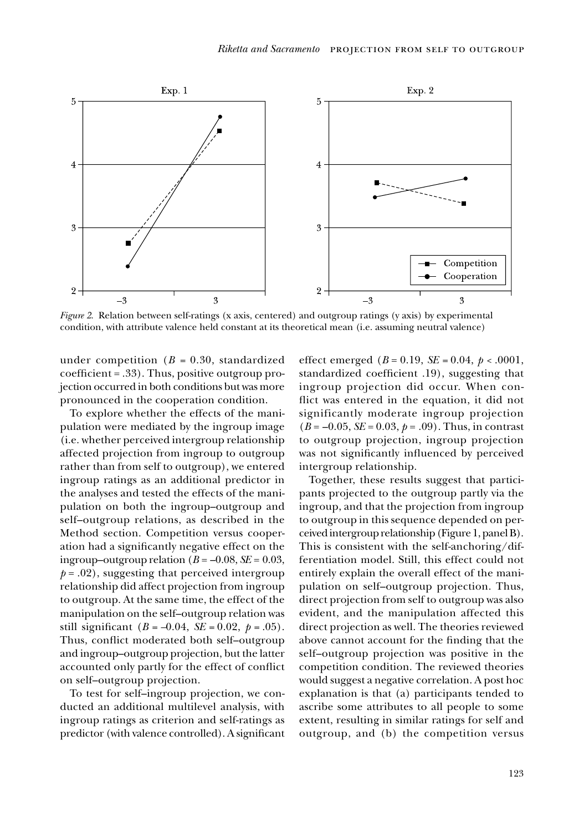

*Figure 2.* Relation between self-ratings (x axis, centered) and outgroup ratings (y axis) by experimental condition, with attribute valence held constant at its theoretical mean (i.e. assuming neutral valence)

under competition (*B =* 0.30, standardized  $coefficient = .33)$ . Thus, positive outgroup projection occurred in both conditions but was more pronounced in the cooperation condition.

To explore whether the effects of the manipulation were mediated by the ingroup image (i.e. whether perceived intergroup relationship affected projection from ingroup to outgroup rather than from self to outgroup), we entered ingroup ratings as an additional predictor in the analyses and tested the effects of the manipulation on both the ingroup–outgroup and self–outgroup relations, as described in the Method section. Competition versus cooperation had a significantly negative effect on the ingroup–outgroup relation (*B* = –0.08, *SE* = 0.03,  $p = .02$ , suggesting that perceived intergroup relationship did affect projection from ingroup to outgroup. At the same time, the effect of the manipulation on the self–outgroup relation was still significant  $(B = -0.04, SE = 0.02, p = .05)$ . Thus, conflict moderated both self-outgroup and ingroup–outgroup projection, but the latter accounted only partly for the effect of conflict on self–outgroup projection.

To test for self–ingroup projection, we conducted an additional multilevel analysis, with ingroup ratings as criterion and self-ratings as predictor (with valence controlled). A significant

effect emerged (*B* = 0.19, *SE =* 0.04, *p <* .0001, standardized coefficient .19), suggesting that ingroup projection did occur. When conflict was entered in the equation, it did not significantly moderate ingroup projection  $(B = -0.05, SE = 0.03, p = .09)$ . Thus, in contrast to outgroup projection, ingroup projection was not significantly influenced by perceived intergroup relationship.

Together, these results suggest that participants projected to the outgroup partly via the ingroup, and that the projection from ingroup to outgroup in this sequence depended on perceived intergroup relationship (Figure 1, panel B). This is consistent with the self-anchoring/differentiation model. Still, this effect could not entirely explain the overall effect of the manipulation on self–outgroup projection. Thus, direct projection from self to outgroup was also evident, and the manipulation affected this direct projection as well. The theories reviewed above cannot account for the finding that the self–outgroup projection was positive in the competition condition. The reviewed theories would suggest a negative correlation. A post hoc explanation is that (a) participants tended to ascribe some attributes to all people to some extent, resulting in similar ratings for self and outgroup, and (b) the competition versus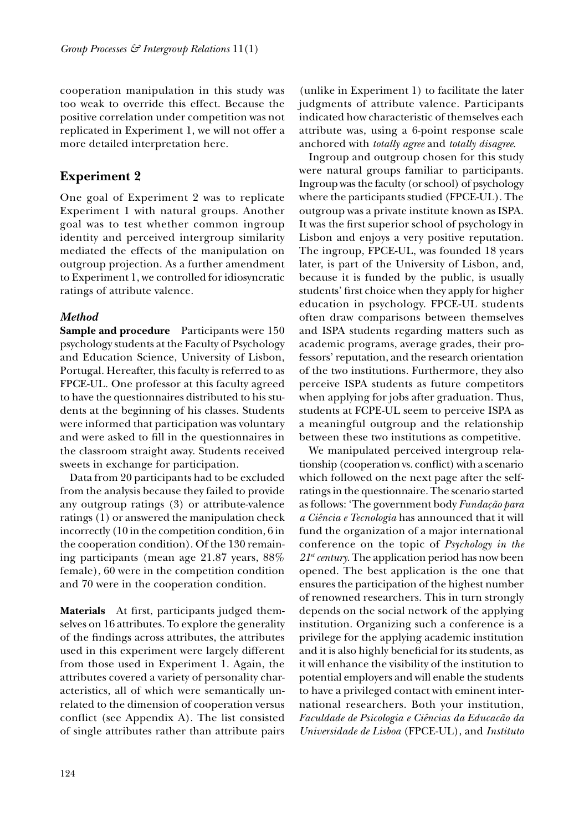cooperation manipulation in this study was too weak to override this effect. Because the positive correlation under competition was not replicated in Experiment 1, we will not offer a more detailed interpretation here.

## **Experiment 2**

One goal of Experiment 2 was to replicate Experiment 1 with natural groups. Another goal was to test whether common ingroup identity and perceived intergroup similarity mediated the effects of the manipulation on outgroup projection. As a further amendment to Experiment 1, we controlled for idiosyncratic ratings of attribute valence.

### *Method*

**Sample and procedure** Participants were 150 psychology students at the Faculty of Psychology and Education Science, University of Lisbon, Portugal. Hereafter, this faculty is referred to as FPCE-UL. One professor at this faculty agreed to have the questionnaires distributed to his students at the beginning of his classes. Students were informed that participation was voluntary and were asked to fill in the questionnaires in the classroom straight away. Students received sweets in exchange for participation.

Data from 20 participants had to be excluded from the analysis because they failed to provide any outgroup ratings (3) or attribute-valence ratings (1) or answered the manipulation check incorrectly (10 in the competition condition, 6 in the cooperation condition). Of the 130 remaining participants (mean age 21.87 years, 88% female), 60 were in the competition condition and 70 were in the cooperation condition.

**Materials** At first, participants judged themselves on 16 attributes. To explore the generality of the findings across attributes, the attributes used in this experiment were largely different from those used in Experiment 1. Again, the attributes covered a variety of personality characteristics, all of which were semantically unrelated to the dimension of cooperation versus conflict (see Appendix A). The list consisted of single attributes rather than attribute pairs

(unlike in Experiment 1) to facilitate the later judgments of attribute valence. Participants indicated how characteristic of themselves each attribute was, using a 6-point response scale anchored with *totally agree* and *totally disagree*.

Ingroup and outgroup chosen for this study were natural groups familiar to participants. Ingroup was the faculty (or school) of psychology where the participants studied (FPCE-UL). The outgroup was a private institute known as ISPA. It was the first superior school of psychology in Lisbon and enjoys a very positive reputation. The ingroup, FPCE-UL, was founded 18 years later, is part of the University of Lisbon, and, because it is funded by the public, is usually students' first choice when they apply for higher education in psychology. FPCE-UL students often draw comparisons between themselves and ISPA students regarding matters such as academic programs, average grades, their professors' reputation, and the research orientation of the two institutions. Furthermore, they also perceive ISPA students as future competitors when applying for jobs after graduation. Thus, students at FCPE-UL seem to perceive ISPA as a meaningful outgroup and the relationship between these two institutions as competitive.

We manipulated perceived intergroup relationship (cooperation vs. conflict) with a scenario which followed on the next page after the selfratings in the questionnaire. The scenario started as follows: 'The government body *Fundação para a Ciência e Tecnologia* has announced that it will fund the organization of a major international conference on the topic of *Psychology in the 21st century*. The application period has now been opened. The best application is the one that ensures the participation of the highest number of renowned researchers. This in turn strongly depends on the social network of the applying institution. Organizing such a conference is a privilege for the applying academic institution and it is also highly beneficial for its students, as it will enhance the visibility of the institution to potential employers and will enable the students to have a privileged contact with eminent international researchers. Both your institution, *Faculdade de Psicologia e Ciências da Educacão da Universidade de Lisboa* (FPCE-UL), and *Instituto*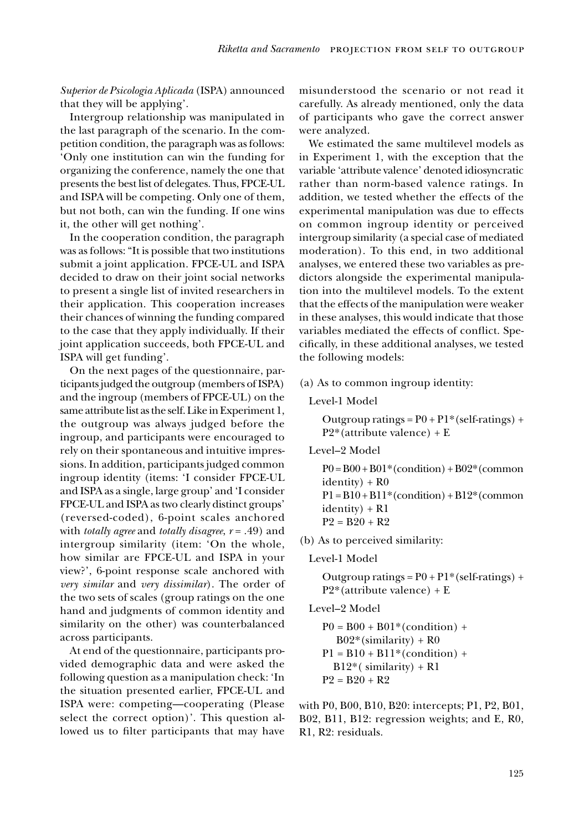*Superior de Psicologia Aplicada* (ISPA) announced that they will be applying'.

Intergroup relationship was manipulated in the last paragraph of the scenario. In the competition condition, the paragraph was as follows: 'Only one institution can win the funding for organizing the conference, namely the one that presents the best list of delegates. Thus, FPCE-UL and ISPA will be competing. Only one of them, but not both, can win the funding. If one wins it, the other will get nothing'.

In the cooperation condition, the paragraph was as follows: "It is possible that two institutions submit a joint application. FPCE-UL and ISPA decided to draw on their joint social networks to present a single list of invited researchers in their application. This cooperation increases their chances of winning the funding compared to the case that they apply individually. If their joint application succeeds, both FPCE-UL and ISPA will get funding'.

On the next pages of the questionnaire, participants judged the outgroup (members of ISPA) and the ingroup (members of FPCE-UL) on the same attribute list as the self. Like in Experiment 1, the outgroup was always judged before the ingroup, and participants were encouraged to rely on their spontaneous and intuitive impressions. In addition, participants judged common ingroup identity (items: 'I consider FPCE-UL and ISPA as a single, large group' and 'I consider FPCE-UL and ISPA as two clearly distinct groups' (reversed-coded), 6-point scales anchored with *totally agree* and *totally disagree*, *r* = .49) and intergroup similarity (item: 'On the whole, how similar are FPCE-UL and ISPA in your view?', 6-point response scale anchored with *very similar* and *very dissimilar*). The order of the two sets of scales (group ratings on the one hand and judgments of common identity and similarity on the other) was counterbalanced across participants.

At end of the questionnaire, participants provided demographic data and were asked the following question as a manipulation check: 'In the situation presented earlier, FPCE-UL and ISPA were: competing—cooperating (Please select the correct option)'. This question allowed us to filter participants that may have misunderstood the scenario or not read it carefully. As already mentioned, only the data of participants who gave the correct answer were analyzed.

We estimated the same multilevel models as in Experiment 1, with the exception that the variable 'attribute valence' denoted idiosyncratic rather than norm-based valence ratings. In addition, we tested whether the effects of the experimental manipulation was due to effects on common ingroup identity or perceived intergroup similarity (a special case of mediated moderation). To this end, in two additional analyses, we entered these two variables as predictors alongside the experimental manipulation into the multilevel models. To the extent that the effects of the manipulation were weaker in these analyses, this would indicate that those variables mediated the effects of conflict. Specifi cally, in these additional analyses, we tested the following models:

- (a) As to common ingroup identity:
	- Level-1 Model

Outgroup ratings =  $P0 + P1*(self-ratings) +$ P2\*(attribute valence) + E

Level–2 Model

 $P0 = B00 + B01*(condition) + B02*(common)$  $identity) + R0$  $P1 = B10 + B11*(condition) + B12*(common)$  $identity$ ) + R1  $P2 = B20 + R2$ 

- (b) As to perceived similarity:
	- Level-1 Model

Outgroup ratings =  $P0 + P1*(self-ratings) +$  $P2^*($ attribute valence) + E

Level–2 Model

 $P0 = B00 + B01*(condition) +$  $B02*(similarity) + R0$  $P1 = B10 + B11*(condition) +$  $B12*(similarity) + R1$  $P2 = B20 + R2$ 

with P0, B00, B10, B20: intercepts; P1, P2, B01, B02, B11, B12: regression weights; and E, R0, R1, R2: residuals.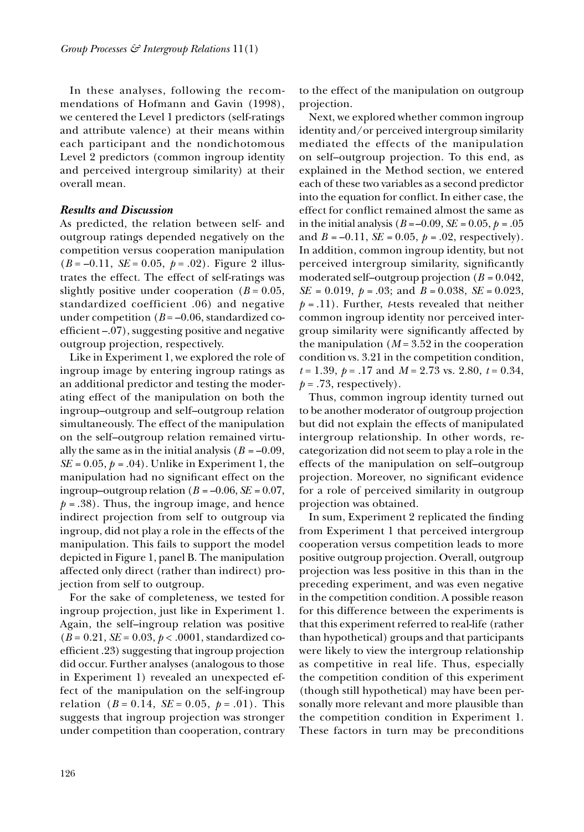In these analyses, following the recommendations of Hofmann and Gavin (1998), we centered the Level 1 predictors (self-ratings and attribute valence) at their means within each participant and the nondichotomous Level 2 predictors (common ingroup identity and perceived intergroup similarity) at their overall mean.

#### *Results and Discussion*

As predicted, the relation between self- and outgroup ratings depended negatively on the competition versus cooperation manipulation  $(B = -0.11, \ \text{SE} = 0.05, \ \text{p} = .02)$ . Figure 2 illustrates the effect. The effect of self-ratings was slightly positive under cooperation  $(B = 0.05,$ standardized coefficient .06) and negative under competition  $(B = -0.06$ , standardized coefficient  $-0.07$ , suggesting positive and negative outgroup projection, respectively.

Like in Experiment 1, we explored the role of ingroup image by entering ingroup ratings as an additional predictor and testing the moderating effect of the manipulation on both the ingroup–outgroup and self–outgroup relation simultaneously. The effect of the manipulation on the self–outgroup relation remained virtually the same as in the initial analysis  $(B = -0.09$ ,  $SE = 0.05$ ,  $p = .04$ ). Unlike in Experiment 1, the manipulation had no significant effect on the ingroup–outgroup relation ( $B = -0.06$ ,  $SE = 0.07$ ,  $p = .38$ ). Thus, the ingroup image, and hence indirect projection from self to outgroup via ingroup, did not play a role in the effects of the manipulation. This fails to support the model depicted in Figure 1, panel B. The manipulation affected only direct (rather than indirect) projection from self to outgroup.

For the sake of completeness, we tested for ingroup projection, just like in Experiment 1. Again, the self–ingroup relation was positive  $(B = 0.21, SE = 0.03, p < .0001$ , standardized coefficient .23) suggesting that ingroup projection did occur. Further analyses (analogous to those in Experiment 1) revealed an unexpected effect of the manipulation on the self-ingroup relation ( $B = 0.14$ ,  $SE = 0.05$ ,  $p = .01$ ). This suggests that ingroup projection was stronger under competition than cooperation, contrary to the effect of the manipulation on outgroup projection.

Next, we explored whether common ingroup identity and/or perceived intergroup similarity mediated the effects of the manipulation on self–outgroup projection. To this end, as explained in the Method section, we entered each of these two variables as a second predictor into the equation for conflict. In either case, the effect for conflict remained almost the same as in the initial analysis ( $B = -0.09$ ,  $SE = 0.05$ ,  $p = .05$ and  $B = -0.11$ ,  $SE = 0.05$ ,  $p = .02$ , respectively). In addition, common ingroup identity, but not perceived intergroup similarity, significantly moderated self–outgroup projection  $(B = 0.042)$ , *SE =* 0.019, *p =* .03; and *B =* 0.038, *SE =* 0.023,  $p = .11$ ). Further, *t*-tests revealed that neither common ingroup identity nor perceived intergroup similarity were significantly affected by the manipulation  $(M = 3.52$  in the cooperation condition vs. 3.21 in the competition condition, *t* = 1.39, *p* = .17 and *M* = 2.73 vs. 2.80, *t* = 0.34,  $p = .73$ , respectively).

Thus, common ingroup identity turned out to be another moderator of outgroup projection but did not explain the effects of manipulated intergroup relationship. In other words, recategorization did not seem to play a role in the effects of the manipulation on self–outgroup projection. Moreover, no significant evidence for a role of perceived similarity in outgroup projection was obtained.

In sum, Experiment 2 replicated the finding from Experiment 1 that perceived intergroup cooperation versus competition leads to more positive outgroup projection. Overall, outgroup projection was less positive in this than in the preceding experiment, and was even negative in the competition condition. A possible reason for this difference between the experiments is that this experiment referred to real-life (rather than hypothetical) groups and that participants were likely to view the intergroup relationship as competitive in real life. Thus, especially the competition condition of this experiment (though still hypothetical) may have been personally more relevant and more plausible than the competition condition in Experiment 1. These factors in turn may be preconditions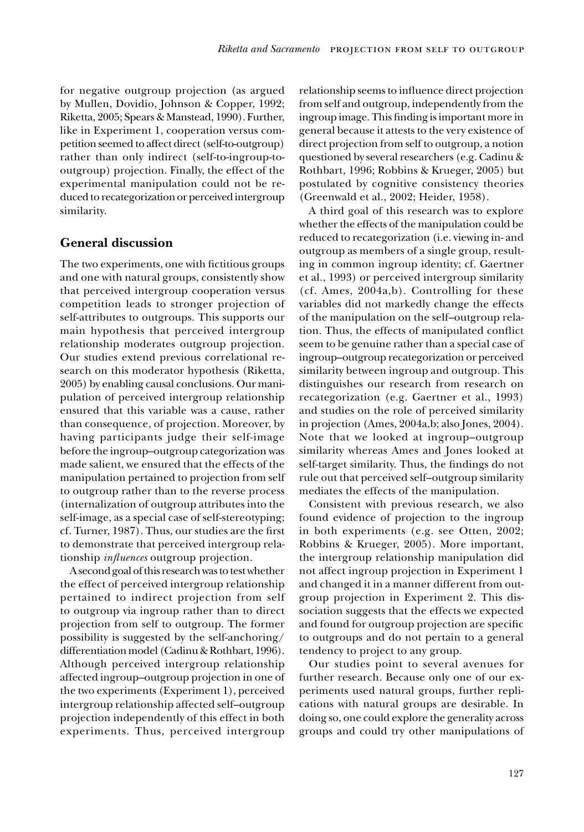for negative outgroup projection (as argued by Mullen, Dovidio, Johnson & Copper, 1992; Riketta, 2005; Spears & Manstead, 1990). Further, like in Experiment 1, cooperation versus competition seemed to affect direct (self-to-outgroup) rather than only indirect (self-to-ingroup-tooutgroup) projection. Finally, the effect of the experimental manipulation could not be reduced to recategorization or perceived intergroup similarity.

## **General discussion**

The two experiments, one with fictitious groups and one with natural groups, consistently show that perceived intergroup cooperation versus competition leads to stronger projection of self-attributes to outgroups. This supports our main hypothesis that perceived intergroup relationship moderates outgroup projection. Our studies extend previous correlational research on this moderator hypothesis (Riketta, 2005) by enabling causal conclusions. Our manipulation of perceived intergroup relationship ensured that this variable was a cause, rather than consequence, of projection. Moreover, by having participants judge their self-image before the ingroup–outgroup categorization was made salient, we ensured that the effects of the manipulation pertained to projection from self to outgroup rather than to the reverse process (internalization of outgroup attributes into the self-image, as a special case of self-stereotyping; cf. Turner, 1987). Thus, our studies are the first to demonstrate that perceived intergroup relationship *influences* outgroup projection.

A second goal of this research was to test whether the effect of perceived intergroup relationship pertained to indirect projection from self to outgroup via ingroup rather than to direct projection from self to outgroup. The former possibility is suggested by the self-anchoring/ differentiation model (Cadinu & Rothbart, 1996). Although perceived intergroup relationship affected ingroup–outgroup projection in one of the two experiments (Experiment 1), perceived intergroup relationship affected self–outgroup projection independently of this effect in both experiments. Thus, perceived intergroup relationship seems to influence direct projection from self and outgroup, independently from the ingroup image. This finding is important more in general because it attests to the very existence of direct projection from self to outgroup, a notion questioned by several researchers (e.g. Cadinu & Rothbart, 1996; Robbins & Krueger, 2005) but postulated by cognitive consistency theories (Greenwald et al., 2002; Heider, 1958).

A third goal of this research was to explore whether the effects of the manipulation could be reduced to recategorization (i.e. viewing in- and outgroup as members of a single group, resulting in common ingroup identity; cf. Gaertner et al., 1993) or perceived intergroup similarity (cf. Ames, 2004a,b). Controlling for these variables did not markedly change the effects of the manipulation on the self–outgroup relation. Thus, the effects of manipulated conflict seem to be genuine rather than a special case of ingroup–outgroup recategorization or perceived similarity between ingroup and outgroup. This distinguishes our research from research on recategorization (e.g. Gaertner et al., 1993) and studies on the role of perceived similarity in projection (Ames, 2004a,b; also Jones, 2004). Note that we looked at ingroup–outgroup similarity whereas Ames and Jones looked at self-target similarity. Thus, the findings do not rule out that perceived self–outgroup similarity mediates the effects of the manipulation.

Consistent with previous research, we also found evidence of projection to the ingroup in both experiments (e.g. see Otten, 2002; Robbins & Krueger, 2005). More important, the intergroup relationship manipulation did not affect ingroup projection in Experiment 1 and changed it in a manner different from outgroup projection in Experiment 2. This dissociation suggests that the effects we expected and found for outgroup projection are specific to outgroups and do not pertain to a general tendency to project to any group.

Our studies point to several avenues for further research. Because only one of our experiments used natural groups, further replications with natural groups are desirable. In doing so, one could explore the generality across groups and could try other manipulations of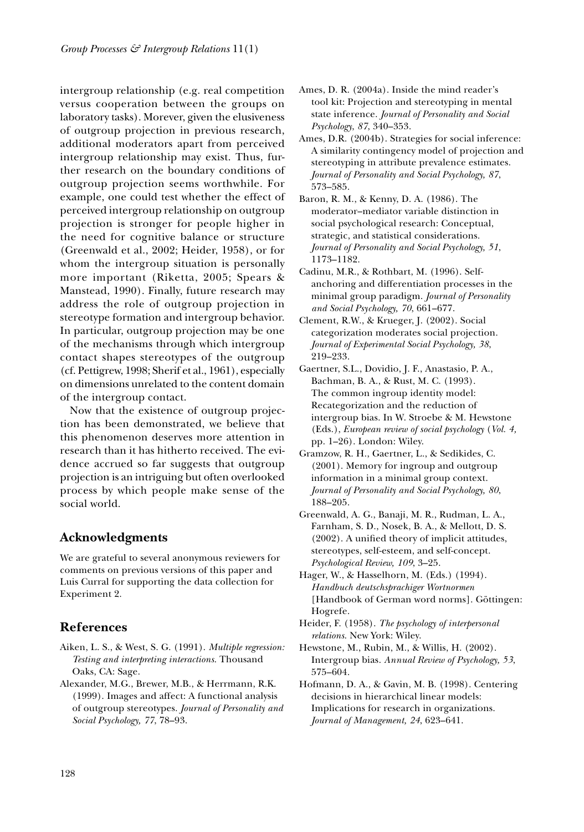intergroup relationship (e.g. real competition versus cooperation between the groups on laboratory tasks). Morever, given the elusiveness of outgroup projection in previous research, additional moderators apart from perceived intergroup relationship may exist. Thus, further research on the boundary conditions of outgroup projection seems worthwhile. For example, one could test whether the effect of perceived intergroup relationship on outgroup projection is stronger for people higher in the need for cognitive balance or structure (Greenwald et al., 2002; Heider, 1958), or for whom the intergroup situation is personally more important (Riketta, 2005; Spears & Manstead, 1990). Finally, future research may address the role of outgroup projection in stereotype formation and intergroup behavior. In particular, outgroup projection may be one of the mechanisms through which intergroup contact shapes stereotypes of the outgroup (cf. Pettigrew, 1998; Sherif et al., 1961), especially on dimensions unrelated to the content domain of the intergroup contact.

Now that the existence of outgroup projection has been demonstrated, we believe that this phenomenon deserves more attention in research than it has hitherto received. The evidence accrued so far suggests that outgroup projection is an intriguing but often overlooked process by which people make sense of the social world.

## **Acknowledgments**

We are grateful to several anonymous reviewers for comments on previous versions of this paper and Luis Curral for supporting the data collection for Experiment 2.

# **References**

- Aiken, L. S., & West, S. G. (1991). *Multiple regression: Testing and interpreting interactions*. Thousand Oaks, CA: Sage.
- Alexander, M.G., Brewer, M.B., & Herrmann, R.K. (1999). Images and affect: A functional analysis of outgroup stereotypes. *Journal of Personality and Social Psychology, 77*, 78–93.
- Ames, D. R. (2004a). Inside the mind reader's tool kit: Projection and stereotyping in mental state inference. *Journal of Personality and Social Psychology*, *87*, 340–353.
- Ames, D.R. (2004b). Strategies for social inference: A similarity contingency model of projection and stereotyping in attribute prevalence estimates. *Journal of Personality and Social Psychology, 87*, 573–585.
- Baron, R. M., & Kenny, D. A. (1986). The moderator–mediator variable distinction in social psychological research: Conceptual, strategic, and statistical considerations. *Journal of Personality and Social Psychology, 51*, 1173–1182.
- Cadinu, M.R., & Rothbart, M. (1996). Selfanchoring and differentiation processes in the minimal group paradigm. *Journal of Personality and Social Psychology, 70*, 661–677.
- Clement, R.W., & Krueger, J. (2002). Social categorization moderates social projection. *Journal of Experimental Social Psychology, 38*, 219–233.
- Gaertner, S.L., Dovidio, J. F., Anastasio, P. A., Bachman, B. A., & Rust, M. C. (1993). The common ingroup identity model: Recategorization and the reduction of intergroup bias. In W. Stroebe & M. Hewstone (Eds.), *European review of social psychology* (*Vol. 4,*  pp. 1–26). London: Wiley.
- Gramzow, R. H., Gaertner, L., & Sedikides, C. (2001). Memory for ingroup and outgroup information in a minimal group context. *Journal of Personality and Social Psychology, 80*, 188–205.
- Greenwald, A. G., Banaji, M. R., Rudman, L. A., Farnham, S. D., Nosek, B. A., & Mellott, D. S.  $(2002)$ . A unified theory of implicit attitudes, stereotypes, self-esteem, and self-concept. *Psychological Review, 109*, 3–25.
- Hager, W., & Hasselhorn, M. (Eds.) (1994). *Handbuch deutschsprachiger Wortnormen* [Handbook of German word norms]. Göttingen: Hogrefe.
- Heider, F. (1958). *The psychology of interpersonal relations*. New York: Wiley.
- Hewstone, M., Rubin, M., & Willis, H. (2002). Intergroup bias. *Annual Review of Psychology, 53*, 575–604.
- Hofmann, D. A., & Gavin, M. B. (1998). Centering decisions in hierarchical linear models: Implications for research in organizations. *Journal of Management, 24*, 623–641.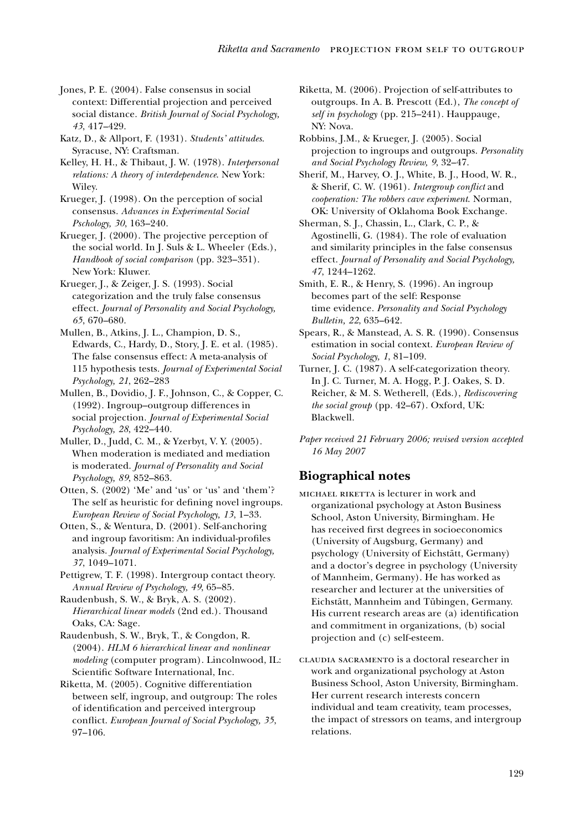Jones, P. E. (2004). False consensus in social context: Differential projection and perceived social distance. *British Journal of Social Psychology, 43*, 417–429.

Katz, D., & Allport, F. (1931). *Students' attitudes*. Syracuse, NY: Craftsman.

Kelley, H. H., & Thibaut, J. W. (1978). *Interpersonal relations: A theory of interdependence*. New York: Wiley.

Krueger, J. (1998). On the perception of social consensus. *Advances in Experimental Social Pschology, 30*, 163–240.

Krueger, J. (2000). The projective perception of the social world. In J. Suls & L. Wheeler (Eds.), *Handbook of social comparison* (pp. 323–351). New York: Kluwer.

Krueger, J., & Zeiger, J. S. (1993). Social categorization and the truly false consensus effect. *Journal of Personality and Social Psychology, 65*, 670–680.

Mullen, B., Atkins, J. L., Champion, D. S., Edwards, C., Hardy, D., Story, J. E. et al. (1985). The false consensus effect: A meta-analysis of 115 hypothesis tests. *Journal of Experimental Social Psychology, 21*, 262–283

Mullen, B., Dovidio, J. F., Johnson, C., & Copper, C. (1992). Ingroup–outgroup differences in social projection. *Journal of Experimental Social Psychology, 28*, 422–440.

Muller, D., Judd, C. M., & Yzerbyt, V. Y. (2005). When moderation is mediated and mediation is moderated. *Journal of Personality and Social Psychology, 89*, 852–863.

Otten, S. (2002) 'Me' and 'us' or 'us' and 'them'? The self as heuristic for defining novel ingroups. *European Review of Social Psychology, 13*, 1–33.

Otten, S., & Wentura, D. (2001). Self-anchoring and ingroup favoritism: An individual-profiles analysis. *Journal of Experimental Social Psychology, 37*, 1049–1071.

Pettigrew, T. F. (1998). Intergroup contact theory. *Annual Review of Psychology, 49*, 65–85.

Raudenbush, S. W., & Bryk, A. S. (2002). *Hierarchical linear models* (2nd ed.). Thousand Oaks, CA: Sage.

Raudenbush, S. W., Bryk, T., & Congdon, R. (2004). *HLM 6 hierarchical linear and nonlinear modeling* (computer program). Lincolnwood, IL: Scientific Software International, Inc.

Riketta, M. (2005). Cognitive differentiation between self, ingroup, and outgroup: The roles of identification and perceived intergroup conflict. *European Journal of Social Psychology*, 35, 97–106.

Riketta, M. (2006). Projection of self-attributes to outgroups. In A. B. Prescott (Ed.), *The concept of self in psychology* (pp. 215–241). Hauppauge, NY: Nova.

Robbins, J.M., & Krueger, J. (2005). Social projection to ingroups and outgroups. *Personality and Social Psychology Review, 9*, 32–47.

Sherif, M., Harvey, O. J., White, B. J., Hood, W. R., & Sherif, C. W. (1961). *Intergroup confl ict* and *cooperation: The robbers cave experiment*. Norman, OK: University of Oklahoma Book Exchange.

Sherman, S. J., Chassin, L., Clark, C. P., & Agostinelli, G. (1984). The role of evaluation and similarity principles in the false consensus effect. *Journal of Personality and Social Psychology, 47*, 1244–1262.

Smith, E. R., & Henry, S. (1996). An ingroup becomes part of the self: Response time evidence. *Personality and Social Psychology Bulletin, 22*, 635–642.

Spears, R., & Manstead, A. S. R. (1990). Consensus estimation in social context. *European Review of Social Psychology, 1*, 81–109.

Turner, J. C. (1987). A self-categorization theory. In J. C. Turner, M. A. Hogg, P. J. Oakes, S. D. Reicher, & M. S. Wetherell, (Eds.), *Rediscovering the social group* (pp. 42–67). Oxford, UK: Blackwell.

## **Biographical notes**

michael riketta is lecturer in work and organizational psychology at Aston Business School, Aston University, Birmingham. He has received first degrees in socioeconomics (University of Augsburg, Germany) and psychology (University of Eichstätt, Germany) and a doctor's degree in psychology (University of Mannheim, Germany). He has worked as researcher and lecturer at the universities of Eichstätt, Mannheim and Tübingen, Germany. His current research areas are (a) identification and commitment in organizations, (b) social projection and (c) self-esteem.

claudia sacramento is a doctoral researcher in work and organizational psychology at Aston Business School, Aston University, Birmingham. Her current research interests concern individual and team creativity, team processes, the impact of stressors on teams, and intergroup relations.

*Paper received 21 February 2006; revised version accepted 16 May 2007*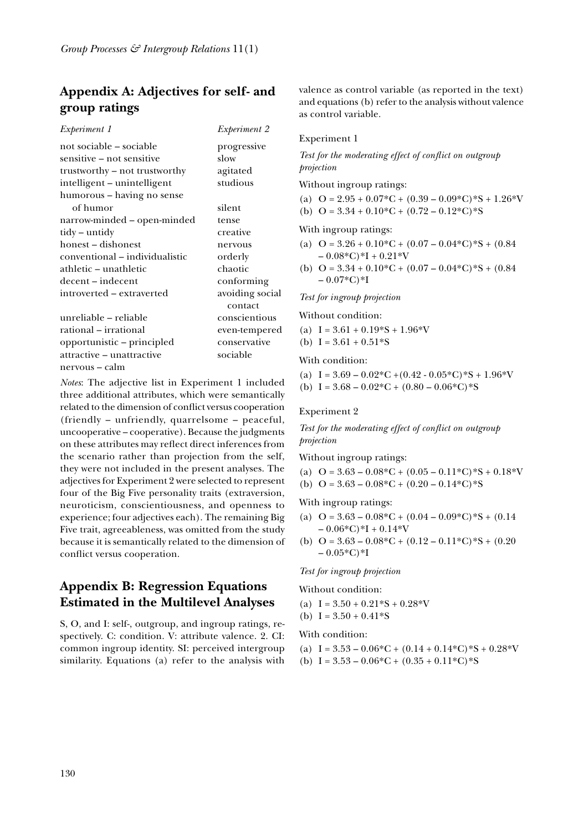# **Appendix A: Adjectives for self- and group ratings**

#### *Experiment 1 Experiment 2*

| not sociable - sociable        | progressive     |
|--------------------------------|-----------------|
| sensitive – not sensitive      | slow            |
| trustworthy – not trustworthy  | agitated        |
| intelligent – unintelligent    | studious        |
| humorous – having no sense     |                 |
| of humor                       | silent          |
| narrow-minded - open-minded    | tense           |
| tidy – untidy                  | creative        |
| honest - dishonest             | nervous         |
| conventional – individualistic | orderly         |
| athletic – unathletic          | chaotic         |
| decent – indecent              | conforming      |
| introverted – extraverted      | avoiding social |
|                                | contact         |
| unreliable – reliable          | conscientious   |
| rational – irrational          | even-tempered   |
| opportunistic - principled     | conservative    |
| attractive - unattractive      | sociable        |
| nervous – calm                 |                 |

*Notes*: The adjective list in Experiment 1 included three additional attributes, which were semantically related to the dimension of conflict versus cooperation (friendly – unfriendly, quarrelsome – peaceful, uncooperative – cooperative). Because the judgments on these attributes may reflect direct inferences from the scenario rather than projection from the self, they were not included in the present analyses. The adjectives for Experiment 2 were selected to represent four of the Big Five personality traits (extraversion, neuroticism, conscientiousness, and openness to experience; four adjectives each). The remaining Big Five trait, agreeableness, was omitted from the study because it is semantically related to the dimension of conflict versus cooperation.

# **Appendix B: Regression Equations Estimated in the Multilevel Analyses**

S, O, and I: self-, outgroup, and ingroup ratings, respectively. C: condition. V: attribute valence. 2. CI: common ingroup identity. SI: perceived intergroup similarity. Equations (a) refer to the analysis with valence as control variable (as reported in the text) and equations (b) refer to the analysis without valence as control variable.

#### Experiment 1

Test for the moderating effect of conflict on outgroup *projection*

Without ingroup ratings:

- (a)  $Q = 2.95 + 0.07 \times C + (0.39 0.09 \times C) \times S + 1.26 \times V$
- (b)  $Q = 3.34 + 0.10 \times C + (0.72 0.12 \times C) \times S$

With ingroup ratings:

- (a)  $O = 3.26 + 0.10 \times C + (0.07 0.04 \times C) \times S + (0.84$  $-0.08\text{*C}\degree$ U +  $0.21\text{*V}$
- (b)  $Q = 3.34 + 0.10 \times C + (0.07 0.04 \times C) \times S + (0.84$  $-0.07 \times C$ <sup>\*</sup>I

## *Test for ingroup projection*

Without condition:

- (a)  $I = 3.61 + 0.19*S + 1.96*V$
- (b)  $I = 3.61 + 0.51*S$

#### With condition:

- (a)  $I = 3.69 0.02 \times C + (0.42 0.05 \times C) \times S + 1.96 \times V$
- (b)  $I = 3.68 0.02 \times C + (0.80 0.06 \times C) \times S$

#### Experiment 2

Test for the moderating effect of conflict on outgroup *projection*

Without ingroup ratings:

- (a)  $Q = 3.63 0.08 \times C + (0.05 0.11 \times C) \times S + 0.18 \times V$
- (b)  $Q = 3.63 0.08 \times C + (0.20 0.14 \times C) \times S$

With ingroup ratings:

- (a)  $Q = 3.63 0.08 \times C + (0.04 0.09 \times C) \times S + (0.14$  $-0.06\text{*C}$ <sup>\*</sup>I +  $0.14\text{*V}$
- (b)  $Q = 3.63 0.08 \times C + (0.12 0.11 \times C) \times S + (0.20$  $-0.05*C$ <sup>\*</sup>I

*Test for ingroup projection*

#### Without condition:

- (a)  $I = 3.50 + 0.21*S + 0.28*V$
- (b)  $I = 3.50 + 0.41*S$

With condition:

- (a)  $I = 3.53 0.06 \times C + (0.14 + 0.14 \times C) \times S + 0.28 \times V$
- (b)  $I = 3.53 0.06 \times C + (0.35 + 0.11 \times C) \times S$